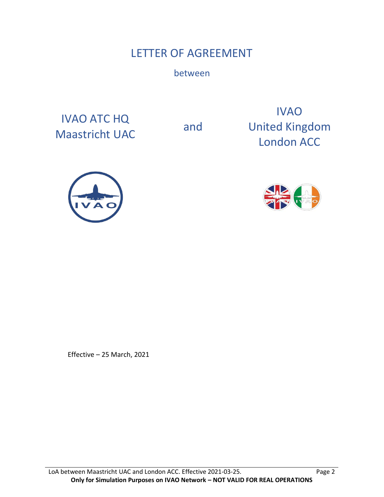# LETTER OF AGREEMENT

between

IVAO ATC HQ Maastricht UAC and

IVAO United Kingdom London ACC





Effective – 25 March, 2021

LoA between Maastricht UAC and London ACC. Effective 2021-03-25. Page 2 **Only for Simulation Purposes on IVAO Network – NOT VALID FOR REAL OPERATIONS**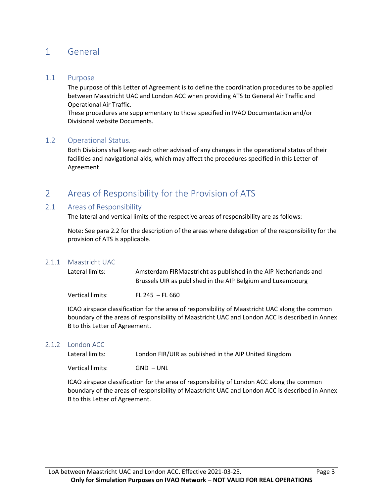# 1 General

#### 1.1 Purpose

The purpose of this Letter of Agreement is to define the coordination procedures to be applied between Maastricht UAC and London ACC when providing ATS to General Air Traffic and Operational Air Traffic.

These procedures are supplementary to those specified in IVAO Documentation and/or Divisional website Documents.

#### 1.2 Operational Status.

Both Divisions shall keep each other advised of any changes in the operational status of their facilities and navigational aids, which may affect the procedures specified in this Letter of Agreement.

# 2 Areas of Responsibility for the Provision of ATS

#### 2.1 Areas of Responsibility

The lateral and vertical limits of the respective areas of responsibility are as follows:

Note: See para 2.2 for the description of the areas where delegation of the responsibility for the provision of ATS is applicable.

#### 2.1.1 Maastricht UAC

| Lateral limits:  | Amsterdam FIRMaastricht as published in the AIP Netherlands and<br>Brussels UIR as published in the AIP Belgium and Luxembourg |
|------------------|--------------------------------------------------------------------------------------------------------------------------------|
| Vertical limits: | $FL 245 - FL 660$                                                                                                              |

ICAO airspace classification for the area of responsibility of Maastricht UAC along the common boundary of the areas of responsibility of Maastricht UAC and London ACC is described in Annex B to this Letter of Agreement.

#### 2.1.2 London ACC

| Lateral limits:  | London FIR/UIR as published in the AIP United Kingdom |
|------------------|-------------------------------------------------------|
| Vertical limits: | $GND - UNL$                                           |

ICAO airspace classification for the area of responsibility of London ACC along the common boundary of the areas of responsibility of Maastricht UAC and London ACC is described in Annex B to this Letter of Agreement.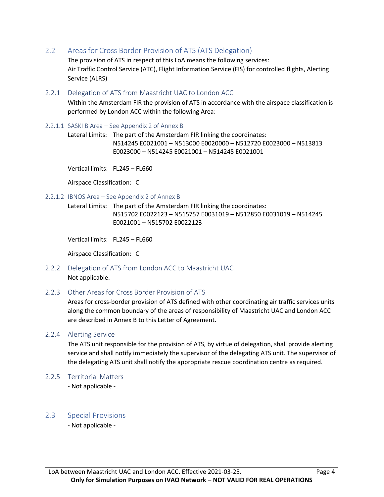2.2 Areas for Cross Border Provision of ATS (ATS Delegation)

The provision of ATS in respect of this LoA means the following services: Air Traffic Control Service (ATC), Flight Information Service (FIS) for controlled flights, Alerting Service (ALRS)

2.2.1 Delegation of ATS from Maastricht UAC to London ACC

Within the Amsterdam FIR the provision of ATS in accordance with the airspace classification is performed by London ACC within the following Area:

2.2.1.1 SASKI B Area – See Appendix 2 of Annex B

Lateral Limits: The part of the Amsterdam FIR linking the coordinates: N514245 E0021001 – N513000 E0020000 – N512720 E0023000 – N513813 E0023000 – N514245 E0021001 – N514245 E0021001

Vertical limits: FL245 – FL660

Airspace Classification: C

2.2.1.2 IBNOS Area – See Appendix 2 of Annex B

Lateral Limits: The part of the Amsterdam FIR linking the coordinates: N515702 E0022123 – N515757 E0031019 – N512850 E0031019 – N514245 E0021001 – N515702 E0022123

Vertical limits: FL245 – FL660

Airspace Classification: C

- 2.2.2 Delegation of ATS from London ACC to Maastricht UAC Not applicable.
- 2.2.3 Other Areas for Cross Border Provision of ATS

Areas for cross-border provision of ATS defined with other coordinating air traffic services units along the common boundary of the areas of responsibility of Maastricht UAC and London ACC are described in Annex B to this Letter of Agreement.

2.2.4 Alerting Service

The ATS unit responsible for the provision of ATS, by virtue of delegation, shall provide alerting service and shall notify immediately the supervisor of the delegating ATS unit. The supervisor of the delegating ATS unit shall notify the appropriate rescue coordination centre as required.

- 2.2.5 Territorial Matters
	- Not applicable -

#### 2.3 Special Provisions

- Not applicable -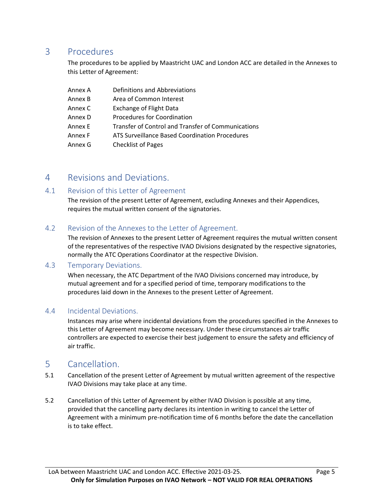## 3 Procedures

The procedures to be applied by Maastricht UAC and London ACC are detailed in the Annexes to this Letter of Agreement:

| Annex A | Definitions and Abbreviations                      |
|---------|----------------------------------------------------|
| Annex B | Area of Common Interest                            |
| Annex C | <b>Exchange of Flight Data</b>                     |
| Annex D | Procedures for Coordination                        |
| Annex E | Transfer of Control and Transfer of Communications |
| Annex F | ATS Surveillance Based Coordination Procedures     |
| Annex G | <b>Checklist of Pages</b>                          |

## 4 Revisions and Deviations.

### 4.1 Revision of this Letter of Agreement

The revision of the present Letter of Agreement, excluding Annexes and their Appendices, requires the mutual written consent of the signatories.

### 4.2 Revision of the Annexes to the Letter of Agreement.

The revision of Annexes to the present Letter of Agreement requires the mutual written consent of the representatives of the respective IVAO Divisions designated by the respective signatories, normally the ATC Operations Coordinator at the respective Division.

#### 4.3 Temporary Deviations.

When necessary, the ATC Department of the IVAO Divisions concerned may introduce, by mutual agreement and for a specified period of time, temporary modifications to the procedures laid down in the Annexes to the present Letter of Agreement.

#### 4.4 Incidental Deviations.

Instances may arise where incidental deviations from the procedures specified in the Annexes to this Letter of Agreement may become necessary. Under these circumstances air traffic controllers are expected to exercise their best judgement to ensure the safety and efficiency of air traffic.

## 5 Cancellation.

- 5.1 Cancellation of the present Letter of Agreement by mutual written agreement of the respective IVAO Divisions may take place at any time.
- 5.2 Cancellation of this Letter of Agreement by either IVAO Division is possible at any time, provided that the cancelling party declares its intention in writing to cancel the Letter of Agreement with a minimum pre-notification time of 6 months before the date the cancellation is to take effect.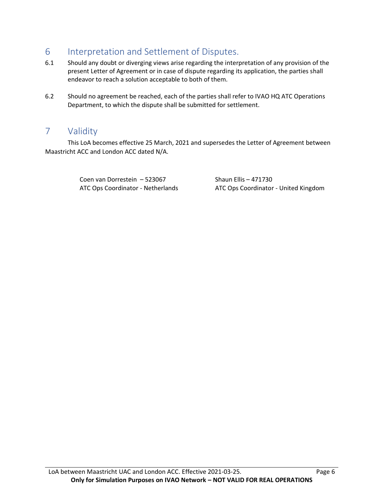# 6 Interpretation and Settlement of Disputes.

- 6.1 Should any doubt or diverging views arise regarding the interpretation of any provision of the present Letter of Agreement or in case of dispute regarding its application, the parties shall endeavor to reach a solution acceptable to both of them.
- 6.2 Should no agreement be reached, each of the parties shall refer to IVAO HQ ATC Operations Department, to which the dispute shall be submitted for settlement.

# 7 Validity

This LoA becomes effective 25 March, 2021 and supersedes the Letter of Agreement between Maastricht ACC and London ACC dated N/A.

Coen van Dorrestein – 523067 Shaun Ellis – 471730

ATC Ops Coordinator - Netherlands ATC Ops Coordinator - United Kingdom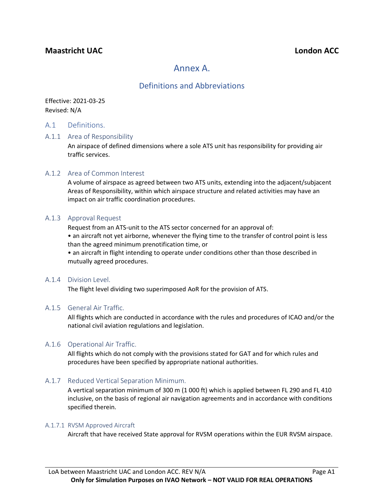## **Maastricht UAC London ACC**

## Annex A.

## Definitions and Abbreviations

Effective: 2021-03-25 Revised: N/A

#### A.1 Definitions.

#### A.1.1 Area of Responsibility

An airspace of defined dimensions where a sole ATS unit has responsibility for providing air traffic services.

#### A.1.2 Area of Common Interest

A volume of airspace as agreed between two ATS units, extending into the adjacent/subjacent Areas of Responsibility, within which airspace structure and related activities may have an impact on air traffic coordination procedures.

#### A.1.3 Approval Request

Request from an ATS-unit to the ATS sector concerned for an approval of:

• an aircraft not yet airborne, whenever the flying time to the transfer of control point is less than the agreed minimum prenotification time, or

• an aircraft in flight intending to operate under conditions other than those described in mutually agreed procedures.

#### A.1.4 Division Level.

The flight level dividing two superimposed AoR for the provision of ATS.

#### A.1.5 General Air Traffic.

All flights which are conducted in accordance with the rules and procedures of ICAO and/or the national civil aviation regulations and legislation.

#### A.1.6 Operational Air Traffic.

All flights which do not comply with the provisions stated for GAT and for which rules and procedures have been specified by appropriate national authorities.

#### A.1.7 Reduced Vertical Separation Minimum.

A vertical separation minimum of 300 m (1 000 ft) which is applied between FL 290 and FL 410 inclusive, on the basis of regional air navigation agreements and in accordance with conditions specified therein.

#### A.1.7.1 RVSM Approved Aircraft

Aircraft that have received State approval for RVSM operations within the EUR RVSM airspace.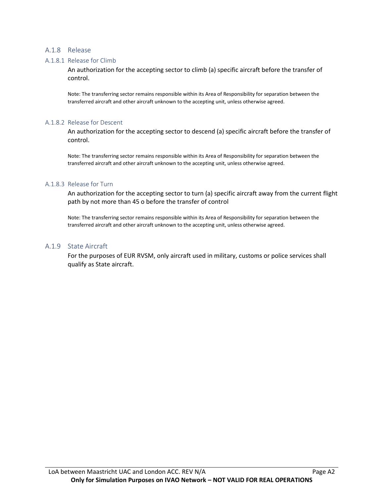#### A.1.8 Release

#### A.1.8.1 Release for Climb

An authorization for the accepting sector to climb (a) specific aircraft before the transfer of control.

Note: The transferring sector remains responsible within its Area of Responsibility for separation between the transferred aircraft and other aircraft unknown to the accepting unit, unless otherwise agreed.

#### A.1.8.2 Release for Descent

An authorization for the accepting sector to descend (a) specific aircraft before the transfer of control.

Note: The transferring sector remains responsible within its Area of Responsibility for separation between the transferred aircraft and other aircraft unknown to the accepting unit, unless otherwise agreed.

#### A.1.8.3 Release for Turn

An authorization for the accepting sector to turn (a) specific aircraft away from the current flight path by not more than 45 o before the transfer of control

Note: The transferring sector remains responsible within its Area of Responsibility for separation between the transferred aircraft and other aircraft unknown to the accepting unit, unless otherwise agreed.

#### A.1.9 State Aircraft

For the purposes of EUR RVSM, only aircraft used in military, customs or police services shall qualify as State aircraft.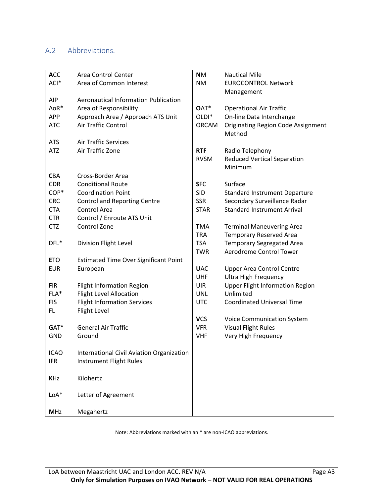## A.2 Abbreviations.

| <b>ACC</b>  | Area Control Center                          | <b>NM</b>         | <b>Nautical Mile</b>                      |
|-------------|----------------------------------------------|-------------------|-------------------------------------------|
| ACI*        | Area of Common Interest                      | <b>NM</b>         | <b>EUROCONTROL Network</b>                |
|             |                                              |                   | Management                                |
| <b>AIP</b>  | <b>Aeronautical Information Publication</b>  |                   |                                           |
| AoR*        | Area of Responsibility                       | OAT*              | <b>Operational Air Traffic</b>            |
| <b>APP</b>  | Approach Area / Approach ATS Unit            | OLDI <sup>*</sup> | On-line Data Interchange                  |
| <b>ATC</b>  | Air Traffic Control                          | <b>ORCAM</b>      | <b>Originating Region Code Assignment</b> |
|             |                                              |                   | Method                                    |
| <b>ATS</b>  | <b>Air Traffic Services</b>                  |                   |                                           |
| <b>ATZ</b>  | Air Traffic Zone                             | <b>RTF</b>        | Radio Telephony                           |
|             |                                              | <b>RVSM</b>       | <b>Reduced Vertical Separation</b>        |
|             |                                              |                   | Minimum                                   |
| <b>CBA</b>  | Cross-Border Area                            |                   |                                           |
| <b>CDR</b>  | <b>Conditional Route</b>                     | <b>SFC</b>        | Surface                                   |
| COP*        | <b>Coordination Point</b>                    | <b>SID</b>        | <b>Standard Instrument Departure</b>      |
| <b>CRC</b>  | <b>Control and Reporting Centre</b>          | <b>SSR</b>        | Secondary Surveillance Radar              |
| <b>CTA</b>  | Control Area                                 | <b>STAR</b>       | <b>Standard Instrument Arrival</b>        |
| <b>CTR</b>  | Control / Enroute ATS Unit                   |                   |                                           |
| <b>CTZ</b>  | Control Zone                                 | <b>TMA</b>        | <b>Terminal Maneuvering Area</b>          |
|             |                                              | <b>TRA</b>        | <b>Temporary Reserved Area</b>            |
| DFL*        | Division Flight Level                        | <b>TSA</b>        | <b>Temporary Segregated Area</b>          |
|             |                                              | <b>TWR</b>        | Aerodrome Control Tower                   |
| <b>ETO</b>  | <b>Estimated Time Over Significant Point</b> |                   |                                           |
| <b>EUR</b>  | European                                     | <b>UAC</b>        | <b>Upper Area Control Centre</b>          |
|             |                                              | <b>UHF</b>        | <b>Ultra High Frequency</b>               |
| <b>FIR</b>  | <b>Flight Information Region</b>             | <b>UIR</b>        | <b>Upper Flight Information Region</b>    |
| FLA*        | <b>Flight Level Allocation</b>               | <b>UNL</b>        | Unlimited                                 |
| <b>FIS</b>  | <b>Flight Information Services</b>           | <b>UTC</b>        | <b>Coordinated Universal Time</b>         |
| FL.         | Flight Level                                 |                   |                                           |
|             |                                              | <b>VCS</b>        | <b>Voice Communication System</b>         |
| GAT*        | <b>General Air Traffic</b>                   | <b>VFR</b>        | <b>Visual Flight Rules</b>                |
| <b>GND</b>  | Ground                                       | <b>VHF</b>        | Very High Frequency                       |
|             |                                              |                   |                                           |
| <b>ICAO</b> | International Civil Aviation Organization    |                   |                                           |
| <b>IFR</b>  | Instrument Flight Rules                      |                   |                                           |
|             |                                              |                   |                                           |
| <b>KHz</b>  | Kilohertz                                    |                   |                                           |
|             |                                              |                   |                                           |
| $LoA*$      | Letter of Agreement                          |                   |                                           |
|             |                                              |                   |                                           |
| <b>MHz</b>  | Megahertz                                    |                   |                                           |

Note: Abbreviations marked with an \* are non-ICAO abbreviations.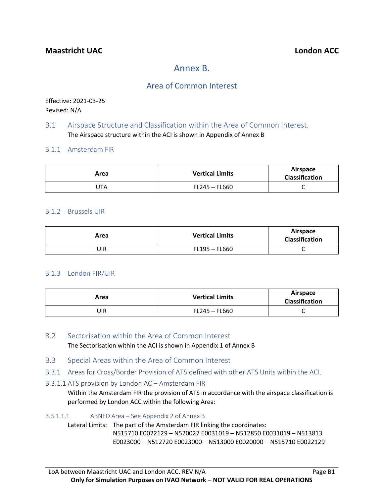# Annex B.

## Area of Common Interest

Effective: 2021-03-25 Revised: N/A

#### B.1 Airspace Structure and Classification within the Area of Common Interest. The Airspace structure within the ACI is shown in Appendix of Annex B

#### B.1.1 Amsterdam FIR

| Area | <b>Vertical Limits</b> | Airspace<br><b>Classification</b> |
|------|------------------------|-----------------------------------|
| JTA  | FL245 - FL660          | ๛                                 |

#### B.1.2 Brussels UIR

| Area | <b>Vertical Limits</b> | Airspace<br><b>Classification</b> |
|------|------------------------|-----------------------------------|
| UIR  | FL195 - FL660          | ๛                                 |

#### B.1.3 London FIR/UIR

| Area | <b>Vertical Limits</b> | Airspace<br><b>Classification</b> |
|------|------------------------|-----------------------------------|
| UIR  | FL245 - FL660          | ๛                                 |

### B.2 Sectorisation within the Area of Common Interest The Sectorisation within the ACI is shown in Appendix 1 of Annex B

- B.3 Special Areas within the Area of Common Interest
- B.3.1 Areas for Cross/Border Provision of ATS defined with other ATS Units within the ACI.

#### B.3.1.1 ATS provision by London AC – Amsterdam FIR

Within the Amsterdam FIR the provision of ATS in accordance with the airspace classification is performed by London ACC within the following Area:

#### B.3.1.1.1 ABNED Area – See Appendix 2 of Annex B

Lateral Limits: The part of the Amsterdam FIR linking the coordinates: N515710 E0022129 – N520027 E0031019 – N512850 E0031019 – N513813 E0023000 – N512720 E0023000 – N513000 E0020000 – N515710 E0022129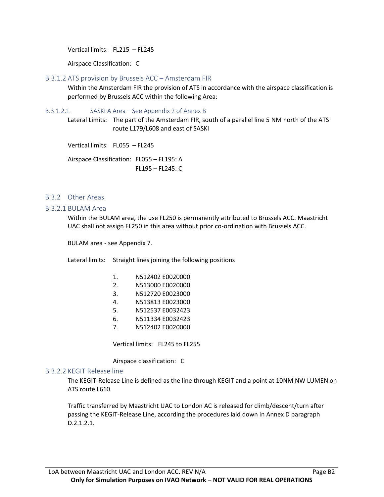Vertical limits: FL215 – FL245

Airspace Classification: C

#### B.3.1.2 ATS provision by Brussels ACC – Amsterdam FIR

Within the Amsterdam FIR the provision of ATS in accordance with the airspace classification is performed by Brussels ACC within the following Area:

#### B.3.1.2.1 SASKI A Area – See Appendix 2 of Annex B

Lateral Limits: The part of the Amsterdam FIR, south of a parallel line 5 NM north of the ATS route L179/L608 and east of SASKI

Vertical limits: FL055 – FL245

Airspace Classification: FL055 – FL195: A FL195 – FL245: C

#### B.3.2 Other Areas

#### B.3.2.1 BULAM Area

Within the BULAM area, the use FL250 is permanently attributed to Brussels ACC. Maastricht UAC shall not assign FL250 in this area without prior co-ordination with Brussels ACC.

BULAM area - see Appendix 7.

Lateral limits: Straight lines joining the following positions

| N512402 E0020000 |  |
|------------------|--|
|------------------|--|

- 2. N513000 E0020000
- 3. N512720 E0023000
- 4. N513813 E0023000
- 5. N512537 E0032423
- 6. N511334 E0032423
- 7. N512402 E0020000

Vertical limits: FL245 to FL255

Airspace classification: C

#### B.3.2.2 KEGIT Release line

The KEGIT-Release Line is defined as the line through KEGIT and a point at 10NM NW LUMEN on ATS route L610.

Traffic transferred by Maastricht UAC to London AC is released for climb/descent/turn after passing the KEGIT-Release Line, according the procedures laid down in Annex D paragraph D.2.1.2.1.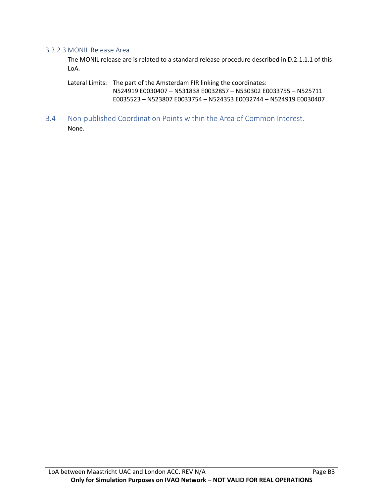#### B.3.2.3 MONIL Release Area

The MONIL release are is related to a standard release procedure described in D.2.1.1.1 of this LoA.

Lateral Limits: The part of the Amsterdam FIR linking the coordinates:

N524919 E0030407 – N531838 E0032857 – N530302 E0033755 – N525711 E0035523 – N523807 E0033754 – N524353 E0032744 – N524919 E0030407

B.4 Non-published Coordination Points within the Area of Common Interest. None.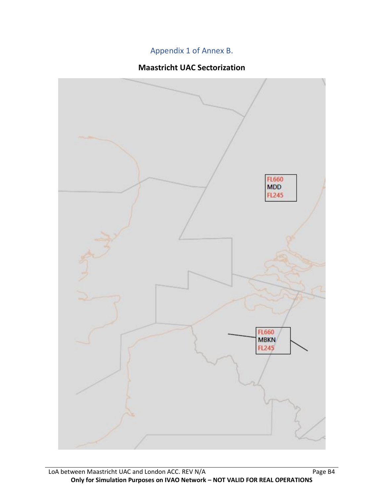# Appendix 1 of Annex B.

## **Maastricht UAC Sectorization**

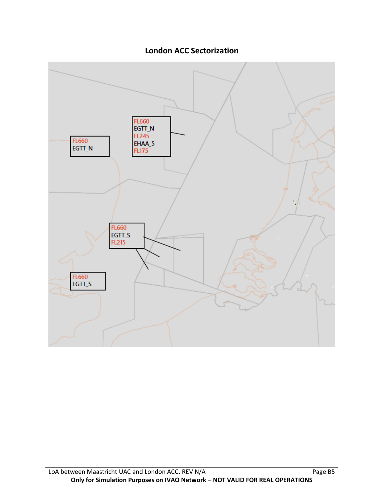

**London ACC Sectorization**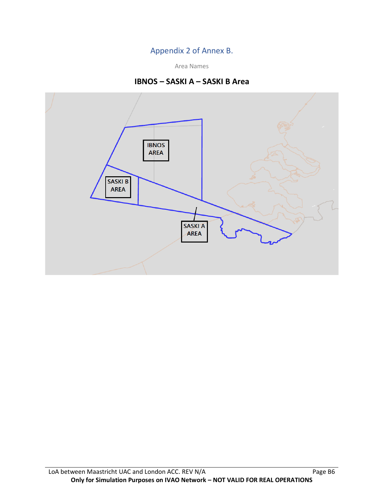## Appendix 2 of Annex B.

Area Names

## **IBNOS – SASKI A – SASKI B Area**

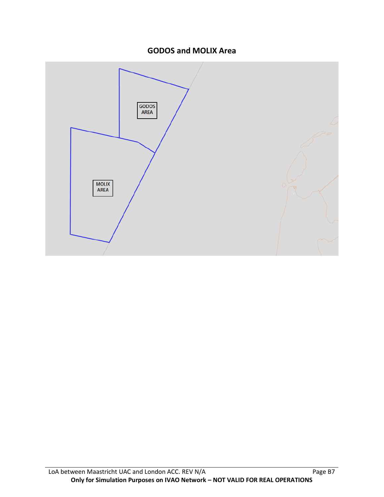## **GODOS and MOLIX Area**

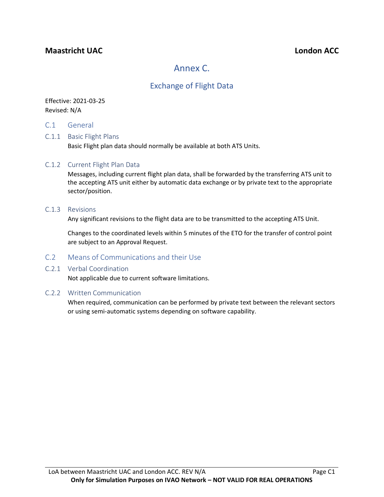## **Maastricht UAC London ACC**

# Annex C.

## Exchange of Flight Data

#### Effective: 2021-03-25 Revised: N/A

C.1 General

#### C.1.1 Basic Flight Plans

Basic Flight plan data should normally be available at both ATS Units.

#### C.1.2 Current Flight Plan Data

Messages, including current flight plan data, shall be forwarded by the transferring ATS unit to the accepting ATS unit either by automatic data exchange or by private text to the appropriate sector/position.

#### C.1.3 Revisions

Any significant revisions to the flight data are to be transmitted to the accepting ATS Unit.

Changes to the coordinated levels within 5 minutes of the ETO for the transfer of control point are subject to an Approval Request.

#### C.2 Means of Communications and their Use

#### C.2.1 Verbal Coordination

Not applicable due to current software limitations.

#### C.2.2 Written Communication

When required, communication can be performed by private text between the relevant sectors or using semi-automatic systems depending on software capability.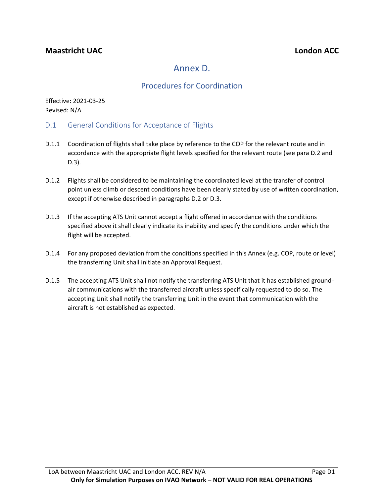# Annex D.

## Procedures for Coordination

Effective: 2021-03-25 Revised: N/A

- D.1 General Conditions for Acceptance of Flights
- D.1.1 Coordination of flights shall take place by reference to the COP for the relevant route and in accordance with the appropriate flight levels specified for the relevant route (see para D.2 and D.3).
- D.1.2 Flights shall be considered to be maintaining the coordinated level at the transfer of control point unless climb or descent conditions have been clearly stated by use of written coordination, except if otherwise described in paragraphs D.2 or D.3.
- D.1.3 If the accepting ATS Unit cannot accept a flight offered in accordance with the conditions specified above it shall clearly indicate its inability and specify the conditions under which the flight will be accepted.
- D.1.4 For any proposed deviation from the conditions specified in this Annex (e.g. COP, route or level) the transferring Unit shall initiate an Approval Request.
- D.1.5 The accepting ATS Unit shall not notify the transferring ATS Unit that it has established groundair communications with the transferred aircraft unless specifically requested to do so. The accepting Unit shall notify the transferring Unit in the event that communication with the aircraft is not established as expected.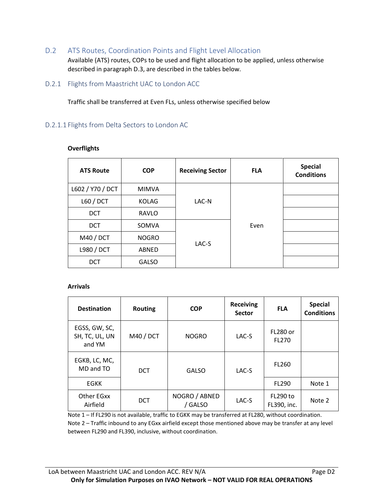D.2 ATS Routes, Coordination Points and Flight Level Allocation

Available (ATS) routes, COPs to be used and flight allocation to be applied, unless otherwise described in paragraph D.3, are described in the tables below.

D.2.1 Flights from Maastricht UAC to London ACC

Traffic shall be transferred at Even FLs, unless otherwise specified below

#### D.2.1.1 Flights from Delta Sectors to London AC

| <b>ATS Route</b> | <b>COP</b>   | <b>Receiving Sector</b> | <b>FLA</b> | <b>Special</b><br><b>Conditions</b> |
|------------------|--------------|-------------------------|------------|-------------------------------------|
| L602 / Y70 / DCT | <b>MIMVA</b> |                         |            |                                     |
| L60 / DCT        | <b>KOLAG</b> | LAC-N                   |            |                                     |
| <b>DCT</b>       | <b>RAVLO</b> |                         |            |                                     |
| <b>DCT</b>       | SOMVA        |                         | Even       |                                     |
| M40 / DCT        | <b>NOGRO</b> | LAC-S                   |            |                                     |
| L980 / DCT       | ABNED        |                         |            |                                     |
| <b>DCT</b>       | <b>GALSO</b> |                         |            |                                     |

#### **Overflights**

#### **Arrivals**

| <b>Destination</b>                        | <b>Routing</b> | <b>COP</b>               | <b>Receiving</b><br><b>Sector</b> | <b>FLA</b>                     | <b>Special</b><br><b>Conditions</b> |
|-------------------------------------------|----------------|--------------------------|-----------------------------------|--------------------------------|-------------------------------------|
| EGSS, GW, SC,<br>SH, TC, UL, UN<br>and YM | M40 / DCT      | <b>NOGRO</b>             | LAC-S                             | <b>FL280 or</b><br>FL270       |                                     |
| EGKB, LC, MC,<br>MD and TO                | <b>DCT</b>     | <b>GALSO</b>             | LAC-S                             | FL260                          |                                     |
| <b>EGKK</b>                               |                |                          |                                   | FL290                          | Note 1                              |
| Other EGxx<br>Airfield                    | <b>DCT</b>     | NOGRO / ABNED<br>/ GALSO | LAC-S                             | <b>FL290 to</b><br>FL390, inc. | Note 2                              |

Note 1 – If FL290 is not available, traffic to EGKK may be transferred at FL280, without coordination. Note 2 – Traffic inbound to any EGxx airfield except those mentioned above may be transfer at any level between FL290 and FL390, inclusive, without coordination.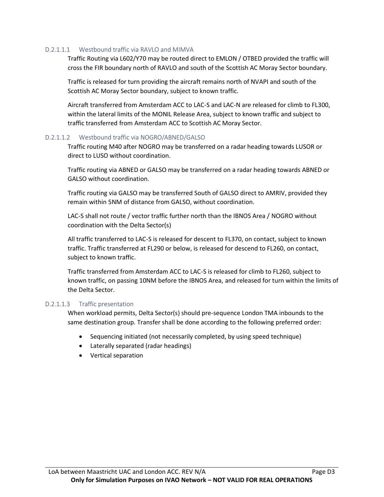#### D.2.1.1.1 Westbound traffic via RAVLO and MIMVA

Traffic Routing via L602/Y70 may be routed direct to EMLON / OTBED provided the traffic will cross the FIR boundary north of RAVLO and south of the Scottish AC Moray Sector boundary.

Traffic is released for turn providing the aircraft remains north of NVAPI and south of the Scottish AC Moray Sector boundary, subject to known traffic.

Aircraft transferred from Amsterdam ACC to LAC-S and LAC-N are released for climb to FL300, within the lateral limits of the MONIL Release Area, subject to known traffic and subject to traffic transferred from Amsterdam ACC to Scottish AC Moray Sector.

#### D.2.1.1.2 Westbound traffic via NOGRO/ABNED/GALSO

Traffic routing M40 after NOGRO may be transferred on a radar heading towards LUSOR or direct to LUSO without coordination.

Traffic routing via ABNED or GALSO may be transferred on a radar heading towards ABNED or GALSO without coordination.

Traffic routing via GALSO may be transferred South of GALSO direct to AMRIV, provided they remain within 5NM of distance from GALSO, without coordination.

LAC-S shall not route / vector traffic further north than the IBNOS Area / NOGRO without coordination with the Delta Sector(s)

All traffic transferred to LAC-S is released for descent to FL370, on contact, subject to known traffic. Traffic transferred at FL290 or below, is released for descend to FL260, on contact, subject to known traffic.

Traffic transferred from Amsterdam ACC to LAC-S is released for climb to FL260, subject to known traffic, on passing 10NM before the IBNOS Area, and released for turn within the limits of the Delta Sector.

#### D.2.1.1.3 Traffic presentation

When workload permits, Delta Sector(s) should pre-sequence London TMA inbounds to the same destination group. Transfer shall be done according to the following preferred order:

- Sequencing initiated (not necessarily completed, by using speed technique)
- Laterally separated (radar headings)
- Vertical separation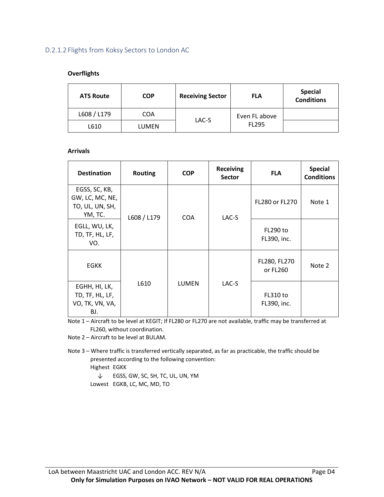### D.2.1.2 Flights from Koksy Sectors to London AC

#### **Overflights**

| <b>ATS Route</b> | <b>COP</b>   | <b>Receiving Sector</b> | <b>FLA</b>    | <b>Special</b><br><b>Conditions</b> |
|------------------|--------------|-------------------------|---------------|-------------------------------------|
| L608 / L179      | <b>COA</b>   |                         | Even FL above |                                     |
| L610             | <b>LUMEN</b> | LAC-S                   | FL295         |                                     |

#### **Arrivals**

| <b>Destination</b>                                             | <b>Routing</b> | <b>COP</b> | <b>Receiving</b><br><b>Sector</b> | <b>FLA</b>                     | <b>Special</b><br><b>Conditions</b> |
|----------------------------------------------------------------|----------------|------------|-----------------------------------|--------------------------------|-------------------------------------|
| EGSS, SC, KB,<br>GW, LC, MC, NE,<br>TO, UL, UN, SH,<br>YM, TC. | L608 / L179    | COA        | LAC-S                             | FL280 or FL270                 | Note 1                              |
| EGLL, WU, LK,<br>TD, TF, HL, LF,<br>VO.                        |                |            |                                   | FL290 to<br>FL390, inc.        |                                     |
| <b>EGKK</b>                                                    |                |            |                                   | FL280, FL270<br>or FL260       | Note 2                              |
| EGHH, HI, LK,<br>TD, TF, HL, LF,<br>VO, TK, VN, VA,<br>BJ.     | L610           | LUMEN      | LAC-S                             | <b>FL310 to</b><br>FL390, inc. |                                     |

Note 1 – Aircraft to be level at KEGIT; If FL280 or FL270 are not available, traffic may be transferred at FL260, without coordination.

Note 2 – Aircraft to be level at BULAM.

- Note 3 Where traffic is transferred vertically separated, as far as practicable, the traffic should be presented according to the following convention: Highest EGKK
	- ↓ EGSS, GW, SC, SH, TC, UL, UN, YM Lowest EGKB, LC, MC, MD, TO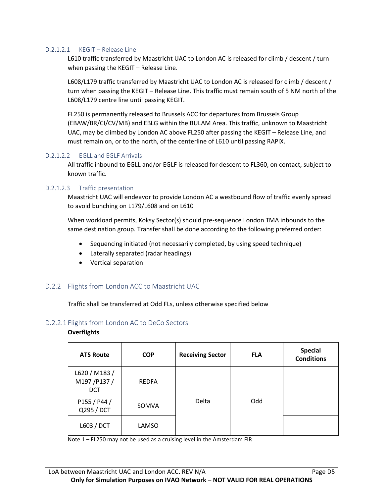#### D.2.1.2.1 KEGIT – Release Line

L610 traffic transferred by Maastricht UAC to London AC is released for climb / descent / turn when passing the KEGIT – Release Line.

L608/L179 traffic transferred by Maastricht UAC to London AC is released for climb / descent / turn when passing the KEGIT – Release Line. This traffic must remain south of 5 NM north of the L608/L179 centre line until passing KEGIT.

FL250 is permanently released to Brussels ACC for departures from Brussels Group (EBAW/BR/CI/CV/MB) and EBLG within the BULAM Area. This traffic, unknown to Maastricht UAC, may be climbed by London AC above FL250 after passing the KEGIT – Release Line, and must remain on, or to the north, of the centerline of L610 until passing RAPIX.

#### D.2.1.2.2 EGLL and EGLF Arrivals

All traffic inbound to EGLL and/or EGLF is released for descent to FL360, on contact, subject to known traffic.

#### D.2.1.2.3 Traffic presentation

Maastricht UAC will endeavor to provide London AC a westbound flow of traffic evenly spread to avoid bunching on L179/L608 and on L610

When workload permits, Koksy Sector(s) should pre-sequence London TMA inbounds to the same destination group. Transfer shall be done according to the following preferred order:

- Sequencing initiated (not necessarily completed, by using speed technique)
- Laterally separated (radar headings)
- Vertical separation

#### D.2.2 Flights from London ACC to Maastricht UAC

Traffic shall be transferred at Odd FLs, unless otherwise specified below

#### D.2.2.1 Flights from London AC to DeCo Sectors

#### **Overflights**

| <b>ATS Route</b>                          | <b>COP</b>   | <b>Receiving Sector</b> | <b>FLA</b> | <b>Special</b><br><b>Conditions</b> |
|-------------------------------------------|--------------|-------------------------|------------|-------------------------------------|
| L620 / M183 /<br>M197/P137/<br><b>DCT</b> | <b>REDFA</b> |                         |            |                                     |
| P155 / P44 /<br>Q295 / DCT                | SOMVA        | Delta                   | Odd        |                                     |
| L603 / DCT                                | LAMSO        |                         |            |                                     |

Note 1 – FL250 may not be used as a cruising level in the Amsterdam FIR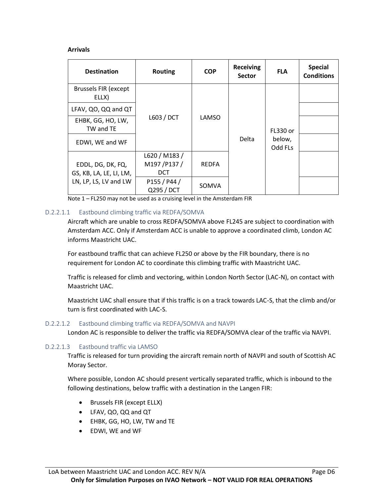#### **Arrivals**

| <b>Destination</b>                           | <b>Routing</b>                            | <b>COP</b>   | <b>Receiving</b><br><b>Sector</b> | <b>FLA</b>                    | <b>Special</b><br><b>Conditions</b> |
|----------------------------------------------|-------------------------------------------|--------------|-----------------------------------|-------------------------------|-------------------------------------|
| <b>Brussels FIR (except</b><br>ELLX)         |                                           |              |                                   |                               |                                     |
| LFAV, QO, QQ and QT                          |                                           | LAMSO        | Delta                             | FL330 or<br>below,<br>Odd FLs |                                     |
| EHBK, GG, HO, LW,<br>TW and TE               | L603 / DCT                                |              |                                   |                               |                                     |
| EDWI, WE and WF                              |                                           |              |                                   |                               |                                     |
| EDDL, DG, DK, FQ,<br>GS, KB, LA, LE, LI, LM, | L620 / M183 /<br>M197/P137/<br><b>DCT</b> | <b>REDFA</b> |                                   |                               |                                     |
| LN, LP, LS, LV and LW                        | P155 / P44 /<br>Q295 / DCT                | <b>SOMVA</b> |                                   |                               |                                     |

Note 1 – FL250 may not be used as a cruising level in the Amsterdam FIR

#### D.2.2.1.1 Eastbound climbing traffic via REDFA/SOMVA

Aircraft which are unable to cross REDFA/SOMVA above FL245 are subject to coordination with Amsterdam ACC. Only if Amsterdam ACC is unable to approve a coordinated climb, London AC informs Maastricht UAC.

For eastbound traffic that can achieve FL250 or above by the FIR boundary, there is no requirement for London AC to coordinate this climbing traffic with Maastricht UAC.

Traffic is released for climb and vectoring, within London North Sector (LAC-N), on contact with Maastricht UAC.

Maastricht UAC shall ensure that if this traffic is on a track towards LAC-S, that the climb and/or turn is first coordinated with LAC-S.

#### D.2.2.1.2 Eastbound climbing traffic via REDFA/SOMVA and NAVPI

London AC is responsible to deliver the traffic via REDFA/SOMVA clear of the traffic via NAVPI.

#### D.2.2.1.3 Eastbound traffic via LAMSO

Traffic is released for turn providing the aircraft remain north of NAVPI and south of Scottish AC Moray Sector.

Where possible, London AC should present vertically separated traffic, which is inbound to the following destinations, below traffic with a destination in the Langen FIR:

- Brussels FIR (except ELLX)
- LFAV, QO, QQ and QT
- EHBK, GG, HO, LW, TW and TE
- EDWI, WE and WF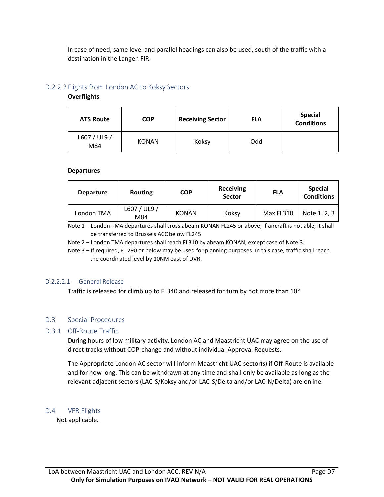In case of need, same level and parallel headings can also be used, south of the traffic with a destination in the Langen FIR.

#### D.2.2.2 Flights from London AC to Koksy Sectors

#### **Overflights**

| <b>ATS Route</b>    | <b>COP</b>   | <b>Receiving Sector</b> | <b>FLA</b> | <b>Special</b><br><b>Conditions</b> |
|---------------------|--------------|-------------------------|------------|-------------------------------------|
| L607 / UL9 /<br>M84 | <b>KONAN</b> | Koksy                   | Odd        |                                     |

#### **Departures**

| <b>Departure</b> | <b>Routing</b>      | <b>COP</b>   | <b>Receiving</b><br><b>Sector</b> | <b>FLA</b> | <b>Special</b><br><b>Conditions</b> |
|------------------|---------------------|--------------|-----------------------------------|------------|-------------------------------------|
| London TMA       | L607 / UL9 /<br>M84 | <b>KONAN</b> | Koksy                             | Max FL310  | Note 1, 2, 3                        |

Note 1 – London TMA departures shall cross abeam KONAN FL245 or above; If aircraft is not able, it shall be transferred to Brussels ACC below FL245

Note 2 – London TMA departures shall reach FL310 by abeam KONAN, except case of Note 3.

Note 3 – If required, FL 290 or below may be used for planning purposes. In this case, traffic shall reach the coordinated level by 10NM east of DVR.

#### D.2.2.2.1 General Release

Traffic is released for climb up to FL340 and released for turn by not more than  $10^{\circ}$ .

#### D.3 Special Procedures

#### D.3.1 Off-Route Traffic

During hours of low military activity, London AC and Maastricht UAC may agree on the use of direct tracks without COP-change and without individual Approval Requests.

The Appropriate London AC sector will inform Maastricht UAC sector(s) if Off-Route is available and for how long. This can be withdrawn at any time and shall only be available as long as the relevant adjacent sectors (LAC-S/Koksy and/or LAC-S/Delta and/or LAC-N/Delta) are online.

#### D.4 VFR Flights

Not applicable.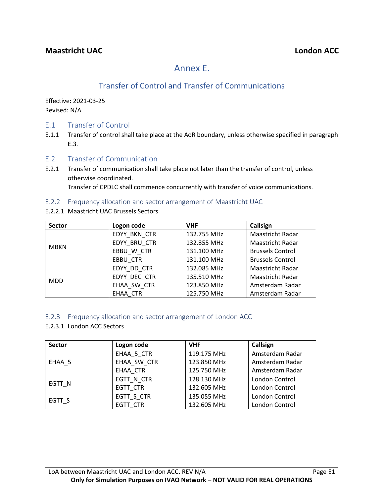# Annex E.

# Transfer of Control and Transfer of Communications

Effective: 2021-03-25 Revised: N/A

### E.1 Transfer of Control

- E.1.1 Transfer of control shall take place at the AoR boundary, unless otherwise specified in paragraph E.3.
- E.2 Transfer of Communication
- E.2.1 Transfer of communication shall take place not later than the transfer of control, unless otherwise coordinated.

Transfer of CPDLC shall commence concurrently with transfer of voice communications.

#### E.2.2 Frequency allocation and sector arrangement of Maastricht UAC

E.2.2.1 Maastricht UAC Brussels Sectors

| <b>Sector</b> | Logon code      | <b>VHF</b>  | Callsign                |
|---------------|-----------------|-------------|-------------------------|
|               | EDYY BKN CTR    | 132.755 MHz | <b>Maastricht Radar</b> |
| MBKN          | EDYY BRU CTR    | 132.855 MHz | <b>Maastricht Radar</b> |
|               | EBBU W CTR      | 131.100 MHz | <b>Brussels Control</b> |
|               | <b>EBBU CTR</b> | 131.100 MHz | <b>Brussels Control</b> |
|               | EDYY DD CTR     | 132.085 MHz | Maastricht Radar        |
| <b>MDD</b>    | EDYY DEC CTR    | 135.510 MHz | <b>Maastricht Radar</b> |
|               | EHAA SW CTR     | 123.850 MHz | Amsterdam Radar         |
|               | EHAA CTR        | 125.750 MHz | Amsterdam Radar         |

#### E.2.3 Frequency allocation and sector arrangement of London ACC

#### E.2.3.1 London ACC Sectors

| <b>Sector</b> | Logon code  | <b>VHF</b>  | Callsign        |
|---------------|-------------|-------------|-----------------|
|               | EHAA 5 CTR  | 119.175 MHz | Amsterdam Radar |
| EHAA 5        | EHAA SW CTR | 123.850 MHz | Amsterdam Radar |
|               | EHAA CTR    | 125.750 MHz | Amsterdam Radar |
|               | EGTT N CTR  | 128.130 MHz | London Control  |
| EGTT N        | EGTT CTR    | 132.605 MHz | London Control  |
|               | EGTT S CTR  | 135.055 MHz | London Control  |
| EGTT S        | EGTT CTR    | 132.605 MHz | London Control  |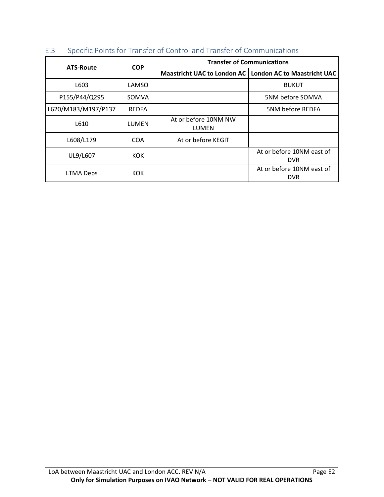| <b>ATS-Route</b>    | <b>COP</b>   | <b>Transfer of Communications</b> |                                                           |  |
|---------------------|--------------|-----------------------------------|-----------------------------------------------------------|--|
|                     |              |                                   | Maastricht UAC to London AC   London AC to Maastricht UAC |  |
| L603                | LAMSO        |                                   | <b>BUKUT</b>                                              |  |
| P155/P44/Q295       | SOMVA        |                                   | 5NM before SOMVA                                          |  |
| L620/M183/M197/P137 | <b>REDFA</b> |                                   | 5NM before REDFA                                          |  |
| L610                | LUMEN        | At or before 10NM NW<br>LUMEN     |                                                           |  |
| L608/L179           | <b>COA</b>   | At or before KEGIT                |                                                           |  |
| UL9/L607            | KOK.         |                                   | At or before 10NM east of<br><b>DVR</b>                   |  |
| <b>LTMA Deps</b>    | KOK.         |                                   | At or before 10NM east of<br><b>DVR</b>                   |  |

## E.3 Specific Points for Transfer of Control and Transfer of Communications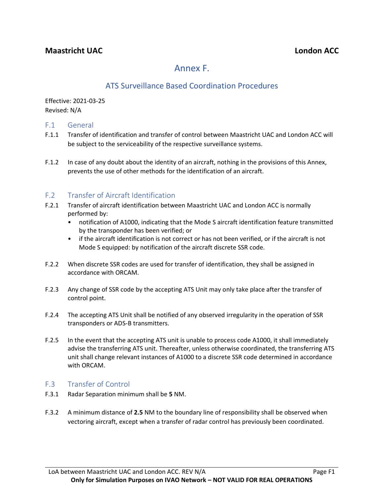# Annex F.

# ATS Surveillance Based Coordination Procedures

Effective: 2021-03-25 Revised: N/A

#### F.1 General

- F.1.1 Transfer of identification and transfer of control between Maastricht UAC and London ACC will be subject to the serviceability of the respective surveillance systems.
- F.1.2 In case of any doubt about the identity of an aircraft, nothing in the provisions of this Annex, prevents the use of other methods for the identification of an aircraft.

## F.2 Transfer of Aircraft Identification

- F.2.1 Transfer of aircraft identification between Maastricht UAC and London ACC is normally performed by:
	- notification of A1000, indicating that the Mode S aircraft identification feature transmitted by the transponder has been verified; or
	- if the aircraft identification is not correct or has not been verified, or if the aircraft is not Mode S equipped: by notification of the aircraft discrete SSR code.
- F.2.2 When discrete SSR codes are used for transfer of identification, they shall be assigned in accordance with ORCAM.
- F.2.3 Any change of SSR code by the accepting ATS Unit may only take place after the transfer of control point.
- F.2.4 The accepting ATS Unit shall be notified of any observed irregularity in the operation of SSR transponders or ADS-B transmitters.
- F.2.5 In the event that the accepting ATS unit is unable to process code A1000, it shall immediately advise the transferring ATS unit. Thereafter, unless otherwise coordinated, the transferring ATS unit shall change relevant instances of A1000 to a discrete SSR code determined in accordance with ORCAM.

#### F.3 Transfer of Control

- F.3.1 Radar Separation minimum shall be **5** NM.
- F.3.2 A minimum distance of **2.5** NM to the boundary line of responsibility shall be observed when vectoring aircraft, except when a transfer of radar control has previously been coordinated.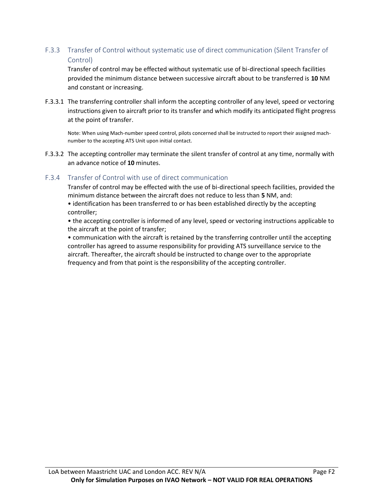## F.3.3 Transfer of Control without systematic use of direct communication (Silent Transfer of Control)

Transfer of control may be effected without systematic use of bi-directional speech facilities provided the minimum distance between successive aircraft about to be transferred is **10** NM and constant or increasing.

F.3.3.1 The transferring controller shall inform the accepting controller of any level, speed or vectoring instructions given to aircraft prior to its transfer and which modify its anticipated flight progress at the point of transfer.

Note: When using Mach-number speed control, pilots concerned shall be instructed to report their assigned machnumber to the accepting ATS Unit upon initial contact.

F.3.3.2 The accepting controller may terminate the silent transfer of control at any time, normally with an advance notice of **10** minutes.

#### F.3.4 Transfer of Control with use of direct communication

Transfer of control may be effected with the use of bi-directional speech facilities, provided the minimum distance between the aircraft does not reduce to less than **5** NM, and:

• identification has been transferred to or has been established directly by the accepting controller;

• the accepting controller is informed of any level, speed or vectoring instructions applicable to the aircraft at the point of transfer;

• communication with the aircraft is retained by the transferring controller until the accepting controller has agreed to assume responsibility for providing ATS surveillance service to the aircraft. Thereafter, the aircraft should be instructed to change over to the appropriate frequency and from that point is the responsibility of the accepting controller.